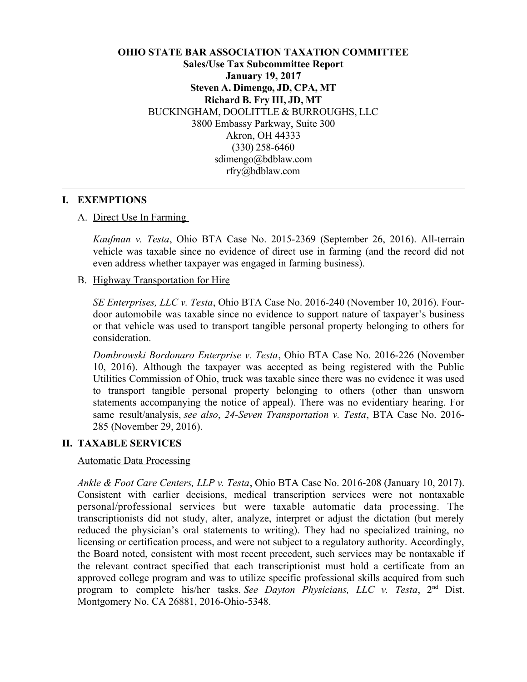## **OHIO STATE BAR ASSOCIATION TAXATION COMMITTEE Sales/Use Tax Subcommittee Report January 19, 2017 Steven A. Dimengo, JD, CPA, MT Richard B. Fry III, JD, MT** BUCKINGHAM, DOOLITTLE & BURROUGHS, LLC 3800 Embassy Parkway, Suite 300 Akron, OH 44333 (330) 258-6460 sdimengo@bdblaw.com rfry@bdblaw.com

### **I. EXEMPTIONS**

#### A. Direct Use In Farming

*Kaufman v. Testa*, Ohio BTA Case No. 2015-2369 (September 26, 2016). All-terrain vehicle was taxable since no evidence of direct use in farming (and the record did not even address whether taxpayer was engaged in farming business).

### B. Highway Transportation for Hire

*SE Enterprises, LLC v. Testa*, Ohio BTA Case No. 2016-240 (November 10, 2016). Fourdoor automobile was taxable since no evidence to support nature of taxpayer's business or that vehicle was used to transport tangible personal property belonging to others for consideration.

*Dombrowski Bordonaro Enterprise v. Testa*, Ohio BTA Case No. 2016-226 (November 10, 2016). Although the taxpayer was accepted as being registered with the Public Utilities Commission of Ohio, truck was taxable since there was no evidence it was used to transport tangible personal property belonging to others (other than unsworn statements accompanying the notice of appeal). There was no evidentiary hearing. For same result/analysis, *see also*, *24-Seven Transportation v. Testa*, BTA Case No. 2016- 285 (November 29, 2016).

#### **II. TAXABLE SERVICES**

#### Automatic Data Processing

*Ankle & Foot Care Centers, LLP v. Testa*, Ohio BTA Case No. 2016-208 (January 10, 2017). Consistent with earlier decisions, medical transcription services were not nontaxable personal/professional services but were taxable automatic data processing. The transcriptionists did not study, alter, analyze, interpret or adjust the dictation (but merely reduced the physician's oral statements to writing). They had no specialized training, no licensing or certification process, and were not subject to a regulatory authority. Accordingly, the Board noted, consistent with most recent precedent, such services may be nontaxable if the relevant contract specified that each transcriptionist must hold a certificate from an approved college program and was to utilize specific professional skills acquired from such program to complete his/her tasks. *See Dayton Physicians, LLC v. Testa*, 2nd Dist. Montgomery No. CA 26881, 2016-Ohio-5348.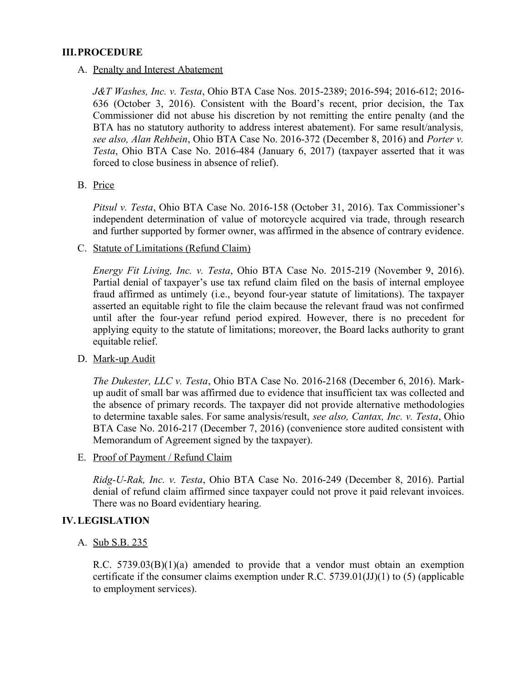#### **III.PROCEDURE**

A. Penalty and Interest Abatement

*J&T Washes, Inc. v. Testa*, Ohio BTA Case Nos. 2015-2389; 2016-594; 2016-612; 2016- 636 (October 3, 2016). Consistent with the Board's recent, prior decision, the Tax Commissioner did not abuse his discretion by not remitting the entire penalty (and the BTA has no statutory authority to address interest abatement). For same result/analysis*, see also, Alan Rehbein*, Ohio BTA Case No. 2016-372 (December 8, 2016) and *Porter v. Testa*, Ohio BTA Case No. 2016-484 (January 6, 2017) (taxpayer asserted that it was forced to close business in absence of relief).

B. Price

*Pitsul v. Testa*, Ohio BTA Case No. 2016-158 (October 31, 2016). Tax Commissioner's independent determination of value of motorcycle acquired via trade, through research and further supported by former owner, was affirmed in the absence of contrary evidence.

C. Statute of Limitations (Refund Claim)

*Energy Fit Living, Inc. v. Testa*, Ohio BTA Case No. 2015-219 (November 9, 2016). Partial denial of taxpayer's use tax refund claim filed on the basis of internal employee fraud affirmed as untimely (i.e., beyond four-year statute of limitations). The taxpayer asserted an equitable right to file the claim because the relevant fraud was not confirmed until after the four-year refund period expired. However, there is no precedent for applying equity to the statute of limitations; moreover, the Board lacks authority to grant equitable relief.

D. Mark-up Audit

*The Dukester, LLC v. Testa*, Ohio BTA Case No. 2016-2168 (December 6, 2016). Markup audit of small bar was affirmed due to evidence that insufficient tax was collected and the absence of primary records. The taxpayer did not provide alternative methodologies to determine taxable sales. For same analysis/result, *see also, Cantax, Inc. v. Testa*, Ohio BTA Case No. 2016-217 (December 7, 2016) (convenience store audited consistent with Memorandum of Agreement signed by the taxpayer).

E. Proof of Payment / Refund Claim

*Ridg-U-Rak, Inc. v. Testa*, Ohio BTA Case No. 2016-249 (December 8, 2016). Partial denial of refund claim affirmed since taxpayer could not prove it paid relevant invoices. There was no Board evidentiary hearing.

#### **IV.LEGISLATION**

A. Sub S.B. 235

R.C. 5739.03(B)(1)(a) amended to provide that a vendor must obtain an exemption certificate if the consumer claims exemption under R.C. 5739.01(JJ)(1) to (5) (applicable to employment services).